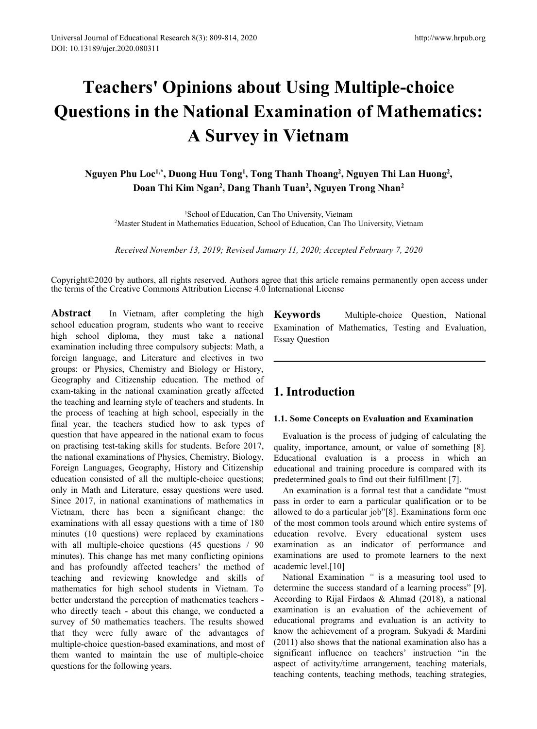# **Teachers' Opinions about Using Multiple-choice Questions in the National Examination of Mathematics: A Survey in Vietnam 2Master Student in Mathematics:**<br>**2Master Student in Mathematics:**<br>**2Master Student in Mathematics Education, Can Tho University, Vietnam**<br>**2Master Student in Mathematics Education, Can Tho University, Vietnam**<br>**2Master S A Survey in Vietnam**<br>**Phu Loc<sup>1,\*</sup>, Duong Huu Tong<sup>1</sup>, Tong Thanh Thoang<sup>2</sup>, Nguyen Thi Lan Huong<sup>2</sup>,<br>Doan Thi Kim Ngan<sup>2</sup>, Dang Thanh Tuan<sup>2</sup>, Nguyen Trong Nhan<sup>2</sup><br><sup>1</sup>School of Education, Can Tho University, Vietnam<br>Mast**

**Nguyen Phu Loc 1,\* , Duong Huu Tong 1 , Tong Thanh Thoang 2 , Nguyen Thi Lan Huong 2 , Doan Thi Kim Ngan 2 , Dang Thanh Tuan 2 , Nguyen Trong Nhan 2**

<sup>1</sup>School of Education, Can Tho University, Vietnam

Copyright©2020 by authors, all rights reserved. Authors agree that this article remains permanently open access under the terms ofthe Creative Commons Attribution License 4.0 International License

Abstract In Vietnam, after completing the high Keywords school education program, students who want to receive high school diploma, they must take a national examination including three compulsory subjects: Math, a foreign language, and Literature and electives in two groups: or Physics, Chemistry and Biology or History, Geography and Citizenship education. The method of exam-taking in the national examination greatly affected the teaching and learning style of teachers and students. In the process of teaching at high school, especially in the final year, the teachers studied how to ask types of question that have appeared in the national exam to focus on practising test-taking skills for students. Before 2017, the national examinations of Physics, Chemistry, Biology, Foreign Languages, Geography, History and Citizenship education consisted of all the multiple-choice questions; only in Math and Literature, essay questions were used. Since 2017, in national examinations of mathematics in Vietnam, there has been a significant change: the examinations with all essay questions with a time of 180 minutes (10 questions) were replaced by examinations with all multiple-choice questions (45 questions / 90 minutes). This change has met many conflicting opinions and has profoundly affected teachers' the method of teaching and reviewing knowledge and skills of mathematics for high school students in Vietnam. To better understand the perception of mathematics teachers who directly teach - about this change, we conducted a survey of 50 mathematics teachers. The results showed that they were fully aware of the advantages of multiple-choice question-based examinations, and most of them wanted to maintain the use of multiple-choice questions for the following years.

**Keywords** Multiple-choice Question, National Examination of Mathematics, Testing and Evaluation, Essay Question

# **1. Introduction**

## **1.1. Some Concepts on Evaluation and Examination**

Evaluation is the process of judging of calculating the quality, importance, amount, or value of something [8]*.* Educational evaluation is a process in which an educational and training procedure is compared with its predetermined goals to find out their fulfillment [7].

An examination is a [formal](https://dictionary.cambridge.org/dictionary/english/formal) [test](https://dictionary.cambridge.org/dictionary/english/test) that a candidate "must pass in order to earn a particular qualification or to be allowed to do a particular job"[8]. Examinations form one of the most common tools around which entire systems of education revolve. Every educational system uses examination as an indicator of performance and examinations are used to promote learners to the next academic level.[10]

National Examination " is a measuring tool used to determine the success standard of a learning process" [9]. According to Rijal Firdaos & Ahmad (2018), a national examination is an evaluation of the achievement of educational programs and evaluation is an activity to know the achievement of a program. Sukyadi & Mardini (2011) also shows that the national examination also has a significant influence on teachers' instruction "in the aspect of activity/time arrangement, teaching materials, teaching contents, teaching methods, teaching strategies,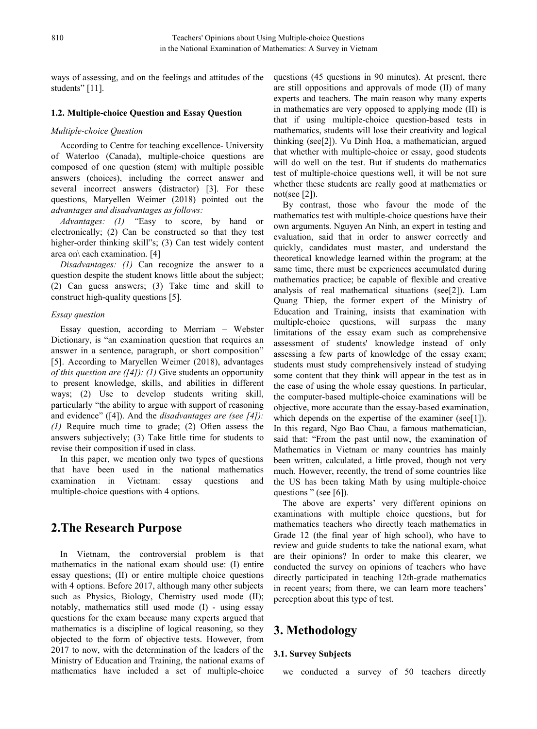ways of assessing, and on the feelings and attitudes of the students" [11].

## **1.2. Multiple-choice Question and Essay Question**

## *Multiple-choice Question*

According to Centre for teaching [excellence](https://uwaterloo.ca/centre-for-teaching-excellence/)- University of Waterloo (Canada), multiple-choice questions are composed of one question (stem) with multiple possible answers (choices), including the correct answer and several incorrect answers (distractor) [3]. For these questions, Maryellen Weimer (2018) pointed out the *advantages and disadvantages as follows:*

*Advantages: (1) "*Easy to score, by hand or electronically; (2) Can be constructed so that they test higher-order thinking skill"s; (3) Can test widely content area on\ each examination. [4]

*Disadvantages: (1)* Can recognize the answer to a question despite the student knows little about the subject; (2) Can guess answers; (3) Take time and skill to construct high-quality questions [5].

#### *Essay question*

Essay question, according to Merriam – Webster Dictionary, is "an examination question that requires an answer in a sentence, paragraph, or short composition" [5]. According to Maryellen Weimer (2018), advantages *of this question are ([4]): (1)* Give students an opportunity to present knowledge, skills, and abilities in different ways; (2) Use to develop students writing skill, particularly "the ability to argue with support of reasoning and evidence" ([4]). And the *disadvantages are (see [4]): (1)* Require much time to grade; (2) Often assess the answers subjectively; (3) Take little time for students to revise their composition if used in class.

In this paper, we mention only two types of questions that have been used in the national mathematics multiple-choice questions with 4 options.

## **2.The Research Purpose**

In Vietnam, the controversial problem is that mathematics in the national exam should use: (I) entire essay questions; (II) or entire multiple choice questions with 4 options. Before 2017, although many other subjects such as Physics, Biology, Chemistry used mode (II); notably, mathematics still used mode (I) - using essay questions for the exam because many experts argued that mathematics is a discipline of logical reasoning, so they objected to the form of objective tests. However, from 2017 to now, with the determination of the leaders of the Ministry of Education and Training, the national exams of mathematics have included a set of multiple-choice questions (45 questions in 90 minutes). At present, there are still oppositions and approvals of mode (II) of many experts and teachers. The main reason why many experts in mathematics are very opposed to applying mode (II) is that if using multiple-choice question-based tests in mathematics, students will lose their creativity and logical thinking (see[2]). Vu Dinh Hoa, a mathematician, argued that whether with multiple-choice or essay, good students will do well on the test. But if students do mathematics test of multiple-choice questions well, it will be not sure whether these students are really good at mathematics or not(see [2]).

examination in Vietnam: essay questions and the US has been taking Math by using multiple-choice By contrast, those who favour the mode of the mathematics test with multiple-choice questions have their own arguments. Nguyen An Ninh, an expert in testing and evaluation, said that in order to answer correctly and quickly, candidates must master, and understand the theoretical knowledge learned within the program; at the same time, there must be experiences accumulated during mathematics practice; be capable of flexible and creative analysis of real mathematical situations (see[2]). Lam Quang Thiep, the former expert of the Ministry of Education and Training, insists that examination with multiple-choice questions, will surpass the many limitations of the essay exam such as comprehensive assessment of students' knowledge instead of only assessing a few parts of knowledge of the essay exam; students must study comprehensively instead of studying some content that they think will appear in the test as in the case of using the whole essay questions. In particular, the computer-based multiple-choice examinations will be objective, more accurate than the essay-based examination, which depends on the expertise of the examiner (see[1]). In this regard, Ngo Bao Chau, a famous mathematician, said that: "From the past until now, the examination of Mathematics in Vietnam or many countries has mainly been written, calculated, a little proved, though not very much. However, recently, the trend of some countries like questions " (see [6]).

> The above are experts' very different opinions on examinations with multiple choice questions, but for mathematics teachers who directly teach mathematics in Grade 12 (the final year of high school), who have to review and guide students to take the national exam, what are their opinions? In order to make this clearer, we conducted the survey on opinions of teachers who have directly participated in teaching 12th-grade mathematics in recent years; from there, we can learn more teachers' perception about this type of test.

# **3. Methodology**

## **3.1. Survey Subjects**

we conducted a survey of 50 teachers directly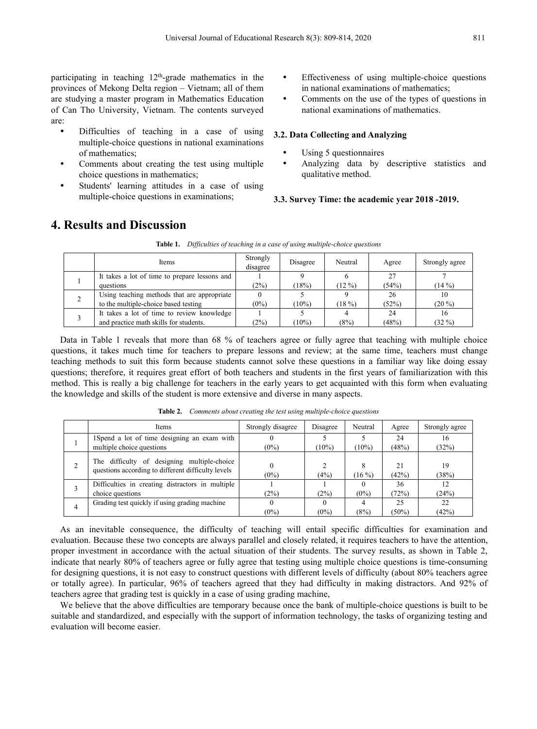participating in teaching  $12<sup>th</sup>$ -grade mathematics in the  $\bullet$  Effectiven provinces of Mekong Delta region – Vietnam; all of them are studying a master program in Mathematics Education of Can Tho University, Vietnam. The contents surveyed are:

- Difficulties of teaching in a case of using multiple-choice questions in national examinations of mathematics;
- Comments about creating the test using multiple choice questions in mathematics;
- Students' learning attitudes in a case of using multiple-choice questions in examinations;
- Effectiveness of using multiple-choice questions in national examinations of mathematics;
- Comments on the use of the types of questions in national examinations of mathematics.

## **3.2. Data Collecting and Analyzing**

- Using 5 questionnaires
- Analyzing data by descriptive statistics and qualitative method.

## **3.3. Survey Time: the academic year 2018 -2019.**

|  | Items                                         | Strongly<br>disagree | Disagree | Neutral  | Agree | Strongly agree |
|--|-----------------------------------------------|----------------------|----------|----------|-------|----------------|
|  | It takes a lot of time to prepare lessons and |                      |          |          | 27    |                |
|  | questions                                     | (2%)                 | (18%)    | $(12\%)$ | (54%) | $(14\%)$       |
|  | Using teaching methods that are appropriate   |                      |          |          | 26    | 10             |
|  | to the multiple-choice based testing          | $(0\%)$              | $(10\%)$ | (18%)    | (52%) | $(20\%)$       |
|  | It takes a lot of time to review knowledge    |                      |          |          | 24    | 16             |
|  | and practice math skills for students.        | (2%)                 | $(10\%)$ | (8%)     | (48%) | $(32\%)$       |

**Table 1.** *Dificulties of teaching in a case of using multiple-choice questions*

**4. Results and Discussion**

Data in Table 1 reveals that more than 68 % of teachers agree or fully agree that teaching with multiple choice questions, it takes much time for teachers to prepare lessons and review; at the same time, teachers must change teaching methods to suit this form because students cannot solve these questions in a familiar way like doing essay questions; therefore, it requires great effort of both teachers and students in the first years of familiarization with this method. This is really a big challenge for teachers in the early years to get acquainted with this form when evaluating the knowledge and skills of the studentis more extensive and diverse in many aspects.

|  | <b>Items</b>                                                                                      | Strongly disagree | Disagree | Neutral       | Agree       | Strongly agree |
|--|---------------------------------------------------------------------------------------------------|-------------------|----------|---------------|-------------|----------------|
|  | 1 Spend a lot of time designing an exam with                                                      |                   |          |               | 24          | 16             |
|  | multiple choice questions                                                                         | $(0\%)$           | $(10\%)$ | $(10\%)$      | (48%)       | (32%)          |
|  | The difficulty of designing multiple-choice<br>questions according to different difficulty levels | $(0\%)$           | (4%)     | 8<br>$(16\%)$ | 21<br>(42%) | 19<br>(38%)    |
|  | Difficulties in creating distractors in multiple                                                  |                   |          |               | 36          | 12             |
|  | choice questions                                                                                  | (2%)              | (2%)     | $(0\%)$       | (72%)       | (24%)          |
|  | Grading test quickly if using grading machine                                                     |                   |          |               | 25          | 22             |
|  |                                                                                                   | $(0\%)$           | $(0\%)$  | (8%)          | $(50\%)$    | (42%)          |

**Table 2.** *Comments about creating the test using multiple-choice questions*

As an inevitable consequence, the difficulty of teaching will entail specific difficulties for examination and evaluation. Because these two concepts are always parallel and closely related, it requires teachers to have the attention, proper investment in accordance with the actual situation of their students. The survey results, as shown in Table 2, indicate that nearly 80% of teachers agree or fully agree that testing using multiple choice questions is time-consuming for designing questions, it is not easy to construct questions with different levels of difficulty (about 80% teachers agree or totally agree). In particular, 96% of teachers agreed that they had difficulty in making distractors. And 92% of teachers agree that grading test is quickly in a case of using grading machine,

We believe that the above difficulties are temporary because once the bank of multiple-choice questions is built to be suitable and standardized, and especially with the support of information technology, the tasks of organizing testing and evaluation will become easier.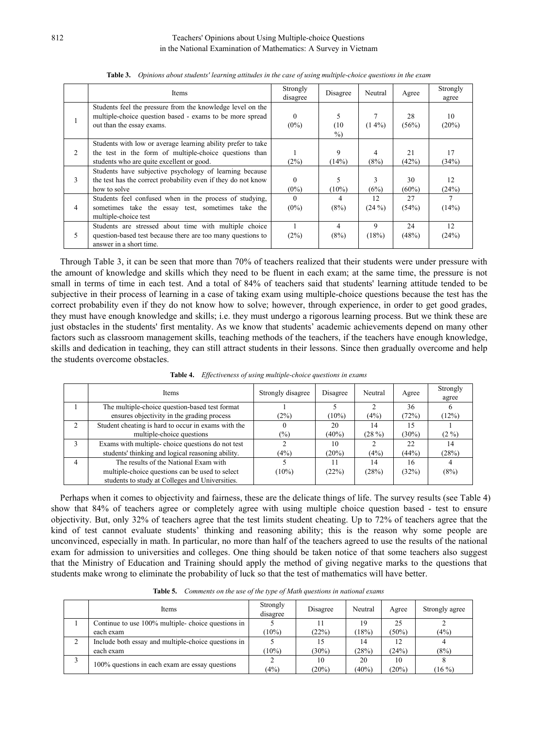|                | Items                                                                                                                                                               | Strongly<br>disagree | Disagree     | Neutral        | Agree       | Strongly<br>agree |
|----------------|---------------------------------------------------------------------------------------------------------------------------------------------------------------------|----------------------|--------------|----------------|-------------|-------------------|
|                | Students feel the pressure from the knowledge level on the<br>multiple-choice question based - exams to be more spread<br>out than the essay exams.                 | $\theta$<br>$(0\%)$  | (10)<br>$\%$ | $(14\%)$       | 28<br>(56%) | 10<br>(20%)       |
| 2              | Students with low or average learning ability prefer to take<br>the test in the form of multiple-choice questions than<br>students who are quite excellent or good. | (2%)                 | 9<br>(14%)   | 4<br>(8%)      | 21<br>(42%) | 17<br>(34%)       |
| 3              | Students have subjective psychology of learning because<br>the test has the correct probability even if they do not know<br>how to solve                            | 0<br>$(0\%)$         | $(10\%)$     | 3<br>(6%)      | 30<br>(60%) | 12<br>(24%)       |
| $\overline{4}$ | Students feel confused when in the process of studying,<br>sometimes take the essay test, sometimes take the<br>multiple-choice test                                | $\Omega$<br>$(0\%)$  | 4<br>(8%)    | 12<br>$(24\%)$ | 27<br>(54%) | (14%)             |
| 5              | Students are stressed about time with multiple choice<br>question-based test because there are too many questions to<br>answer in a short time.                     | (2%)                 | 4<br>(8%)    | 9<br>(18%)     | 24<br>(48%) | 12<br>(24%)       |

Table 3. Opinions about students' learning attitudes in the case of using multiple-choice questions in the exam

Through Table 3, it can be seen that more than 70% of teachers realized that their students were under pressure with the amount of knowledge and skills which they need to be fluent in each exam; at the same time, the pressure is not small in terms of time in each test. And a total of 84% of teachers said that students' learning attitude tended to be subjective in their process of learning in a case of taking exam using multiple-choice questions because the test has the correct probability even if they do not know how to solve; however, through experience, in order to get good grades, they must have enough knowledge and skills; i.e. they must undergo a rigorous learning process. But we think these are just obstacles in the students' first mentality. As we know that students' academic achievements depend on many other factors such as classroom management skills, teaching methods of the teachers, if the teachers have enough knowledge, skills and dedication in teaching, they can still attract students in their lessons. Since then gradually overcome and help the students overcome obstacles.

|                | Items                                               | Strongly disagree | Disagree | Neutral | Agree | Strongly<br>agree |
|----------------|-----------------------------------------------------|-------------------|----------|---------|-------|-------------------|
|                | The multiple-choice question-based test format      |                   |          |         | 36    |                   |
|                | ensures objectivity in the grading process          | (2%)              | $(10\%)$ | (4%)    | (72%) | (12%)             |
| 2              | Student cheating is hard to occur in exams with the |                   | 20       | 14      | 15    |                   |
|                | multiple-choice questions                           | $(\%)$            | (40%)    | (28%)   | (30%) | $(2\%)$           |
| $\overline{3}$ | Exams with multiple-choice questions do not test    |                   | 10       |         | 22    | 14                |
|                | students' thinking and logical reasoning ability.   | (4%)              | (20%)    | (4%)    | (44%) | (28%)             |
| $\overline{4}$ | The results of the National Exam with               |                   |          | 14      | 16    |                   |
|                | multiple-choice questions can be used to select     | $(10\%)$          | (22%)    | (28%)   | (32%) | (8%)              |
|                | students to study at Colleges and Universities.     |                   |          |         |       |                   |

**Table 4.** *Ef ectiveness of using multiple-choice questions in exams*

Perhaps when it comes to objectivity and fairness, these are the delicate things of life. The survey results (see Table 4) show that 84% of teachers agree or completely agree with using multiple choice question based - test to ensure objectivity. But, only 32% of teachers agree that the test limits student cheating. Up to 72% of teachers agree that the kind of test cannot evaluate students' thinking and reasoning ability; this is the reason why some people are unconvinced, especially in math. In particular, no more than half of the teachers agreed to use the results of the national exam for admission to universities and colleges. One thing should be taken notice of that some teachers also suggest that the Ministry of Education and Training should apply the method of giving negative marks to the questions that students make wrong to eliminate the probability of luck so that the test of mathematics will have better.

|  |  |  | Table 5. Comments on the use of the type of Math questions in national exams |  |
|--|--|--|------------------------------------------------------------------------------|--|
|--|--|--|------------------------------------------------------------------------------|--|

|  | Items                                               | Strongly<br>disagree | Disagree | Neutral | Agree | Strongly agree |
|--|-----------------------------------------------------|----------------------|----------|---------|-------|----------------|
|  | Continue to use 100% multiple-choice questions in   |                      |          | 19      | 25    |                |
|  | each exam                                           | $(10\%)$             | (22%)    | (18%)   | (50%) | (4%)           |
|  | Include both essay and multiple-choice questions in |                      |          | 14      | 12    |                |
|  | each exam                                           | $(10\%)$             | (30%)    | (28%)   | (24%) | (8%)           |
|  | 100% questions in each exam are essay questions     |                      | 10       | 20      | 10    |                |
|  |                                                     | (4%)                 | (20%)    | (40%    | (20%) | $(16\%)$       |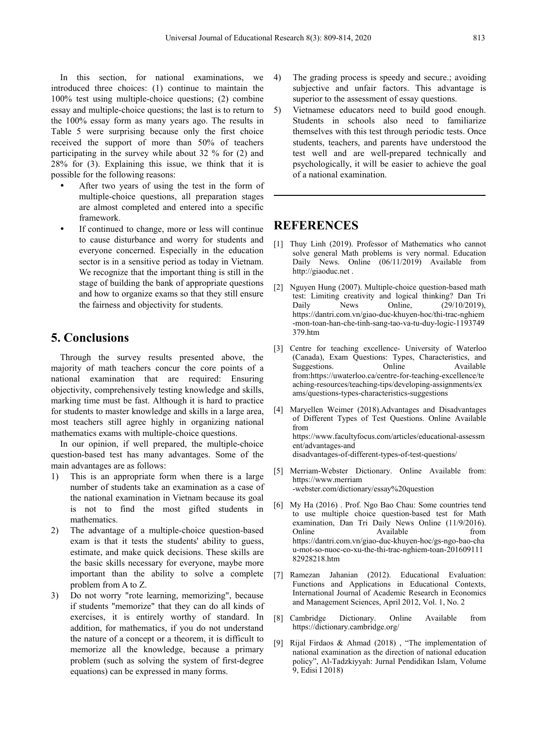In this section, for national examinations, we 4) introduced three choices: (1) continue to maintain the 100% test using multiple-choice questions; (2) combine essay and multiple-choice questions; the last is to return to 5) the 100% essay form as many years ago. The results in Table 5 were surprising because only the first choice received the support of more than 50% of teachers participating in the survey while about 32 % for (2) and 28% for (3). Explaining this issue, we think that it is possible for the following reasons:

- After two years of using the test in the form of multiple-choice questions, all preparation stages are almost completed and entered into a specific framework.
- If continued to change, more or less will continue to cause disturbance and worry for students and everyone concerned. Especially in the education sector is in a sensitive period as today in Vietnam. We recognize that the important thing is still in the http://giaoduc.net. stage of building the bank of appropriate questions  $\begin{bmatrix} 2 \end{bmatrix}$ and how to organize exams so that they still ensure the fairness and objectivity for students.

## **5. Conclusions**

Through the survey results presented above, the majority of math teachers concur the core points of a national examination that are required: Ensuring objectivity, comprehensively testing knowledge and skills, marking time must be fast. Although it is hard to practice for students to master knowledge and skills in a large area, most teachers still agree highly in organizing national from mathematics exams with multiple-choice questions.

In our opinion, if well prepared, the multiple-choice question-based test has many advantages. Some of the main advantages are as follows:

- 1) This is an appropriate form when there is a large [5] Merriam-Webster Di<br>https://www.merriam number of students take an examination as a case of the national examination in Vietnam because its goal is not to find the most gifted students in mathematics.
- 2) The advantage of a multiple-choice question-based exam is that it tests the students' ability to guess, estimate, and make quick decisions. These skills are the basic skills necessary for everyone, maybe more important than the ability to solve a complete [7] problem from A to Z.
- 3) Do not worry "rote learning, memorizing", because if students "memorize" that they can do all kinds of exercises, it is entirely worthy of standard. In [8] Cambridge Dictionary. addition, for mathematics, if you do not understand the nature of a concept or a theorem, it is difficult to  $_{[9]}$ memorize all the knowledge, because a primary problem (such as solving the system of first-degree equations) can be expressed in many forms.
- The grading process is speedy and secure.; avoiding subjective and unfair factors. This advantage is superior to the assessment of essay questions.
- 5) Vietnamese educators need to build good enough. Students in schools also need to familiarize themselves with this test through periodic tests. Once students, teachers, and parents have understood the test well and are well-prepared technically and psychologically, it will be easier to achieve the goal of a national examination.

## **REFERENCES**

- [1] Thuy Linh (2019). Professor of Mathematics who cannot solve general Math problems is very normal. Education Daily News. Online (06/11/2019) Available from
- Nguyen Hung (2007). Multiple-choice question-based math test: Limiting creativity and logical thinking? Dan Tri Daily News Online, (29/10/2019), https://dantri.com.vn/giao-duc-khuyen-hoc/thi-trac-nghiem -mon-toan-han-che-tinh-sang-tao-va-tu-duy-logic-1193749 379.htm
- [3] Centre for teaching excellence- University of Waterloo (Canada), Exam Questions: Types, Characteristics, and Suggestions. Online Available from:https://uwaterloo.ca/centre-for-teaching-excellence/te aching-resources/teaching-tips/developing-assignments/ex ams/questions-types-characteristics-suggestions
- Maryellen Weimer (2018).Advantages and Disadvantages of Different Types of Test Questions. Online Available from https://www.facultyfocus.com/articles/educational-assessm ent/advantages-and disadvantages-of-different-types-of-test-questions/
- Merriam-Webster Dictionary. Online Available from: -webster.com/dictionary/essay%20question
- [6] My Ha (2016) . Prof. Ngo Bao Chau: Some countries tend to use multiple choice question-based test for Math examination, Dan Tri Daily News Online (11/9/2016). Online Available from  $\sim$  Available from  $\sim$ https://dantri.com.vn/giao-duc-khuyen-hoc/gs-ngo-bao-cha u-mot-so-nuoc-co-xu-the-thi-trac-nghiem-toan-201609111 82928218.htm
- Ramezan Jahanian (2012). Educational Evaluation: Functions and Applications in Educational Contexts, International Journal of Academic Research in Economics and Management Sciences, April 2012, Vol. 1, No. 2
- [8] Cambridge Dictionary. Online Available from https://dictionary.cambridge.org/
- Rijal Firdaos & Ahmad (2018), "The implementation of national examination as the direction of national education policy", Al-Tadzkiyyah: Jurnal Pendidikan Islam, Volume 9, Edisi I 2018)